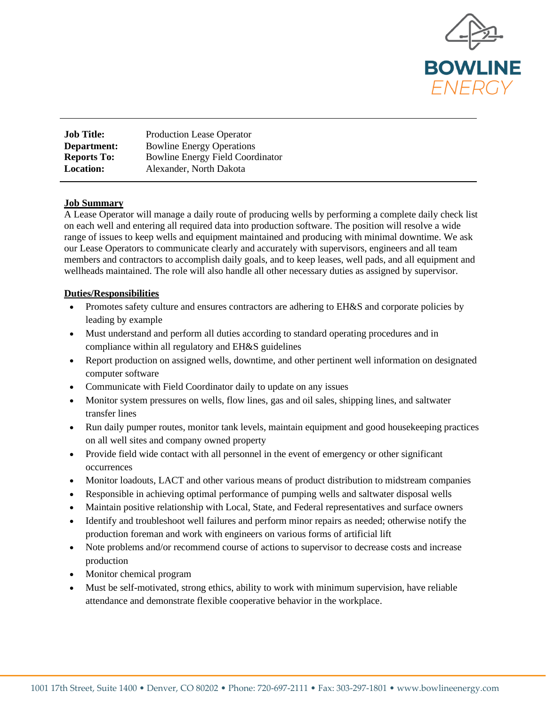

| <b>Job Title:</b>  | Production Lease Operator               |
|--------------------|-----------------------------------------|
| Department:        | <b>Bowline Energy Operations</b>        |
| <b>Reports To:</b> | <b>Bowline Energy Field Coordinator</b> |
| <b>Location:</b>   | Alexander, North Dakota                 |

## **Job Summary**

A Lease Operator will manage a daily route of producing wells by performing a complete daily check list on each well and entering all required data into production software. The position will resolve a wide range of issues to keep wells and equipment maintained and producing with minimal downtime. We ask our Lease Operators to communicate clearly and accurately with supervisors, engineers and all team members and contractors to accomplish daily goals, and to keep leases, well pads, and all equipment and wellheads maintained. The role will also handle all other necessary duties as assigned by supervisor.

## **Duties/Responsibilities**

- Promotes safety culture and ensures contractors are adhering to EH&S and corporate policies by leading by example
- Must understand and perform all duties according to standard operating procedures and in compliance within all regulatory and EH&S guidelines
- Report production on assigned wells, downtime, and other pertinent well information on designated computer software
- Communicate with Field Coordinator daily to update on any issues
- Monitor system pressures on wells, flow lines, gas and oil sales, shipping lines, and saltwater transfer lines
- Run daily pumper routes, monitor tank levels, maintain equipment and good house keeping practices on all well sites and company owned property
- Provide field wide contact with all personnel in the event of emergency or other significant occurrences
- Monitor loadouts, LACT and other various means of product distribution to midstream companies
- Responsible in achieving optimal performance of pumping wells and saltwater disposal wells
- Maintain positive relationship with Local, State, and Federal representatives and surface owners
- Identify and troubleshoot well failures and perform minor repairs as needed; otherwise notify the production foreman and work with engineers on various forms of artificial lift
- Note problems and/or recommend course of actions to supervisor to decrease costs and increase production
- Monitor chemical program
- Must be self-motivated, strong ethics, ability to work with minimum supervision, have reliable attendance and demonstrate flexible cooperative behavior in the workplace.